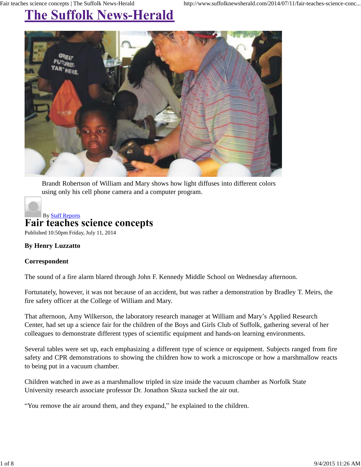## **The Suffolk News-Herald**



Brandt Robertson of William and Mary shows how light diffuses into different colors using only his cell phone camera and a computer program.

## By Staff Reports **Fair teaches science concepts**

Published 10:50pm Friday, July 11, 2014

## **By Henry Luzzatto**

## **Correspondent**

The sound of a fire alarm blared through John F. Kennedy Middle School on Wednesday afternoon.

Fortunately, however, it was not because of an accident, but was rather a demonstration by Bradley T. Meirs, the fire safety officer at the College of William and Mary.

That afternoon, Amy Wilkerson, the laboratory research manager at William and Mary's Applied Research Center, had set up a science fair for the children of the Boys and Girls Club of Suffolk, gathering several of her colleagues to demonstrate different types of scientific equipment and hands-on learning environments.

Several tables were set up, each emphasizing a different type of science or equipment. Subjects ranged from fire safety and CPR demonstrations to showing the children how to work a microscope or how a marshmallow reacts to being put in a vacuum chamber.

Children watched in awe as a marshmallow tripled in size inside the vacuum chamber as Norfolk State University research associate professor Dr. Jonathon Skuza sucked the air out.

"You remove the air around them, and they expand," he explained to the children.